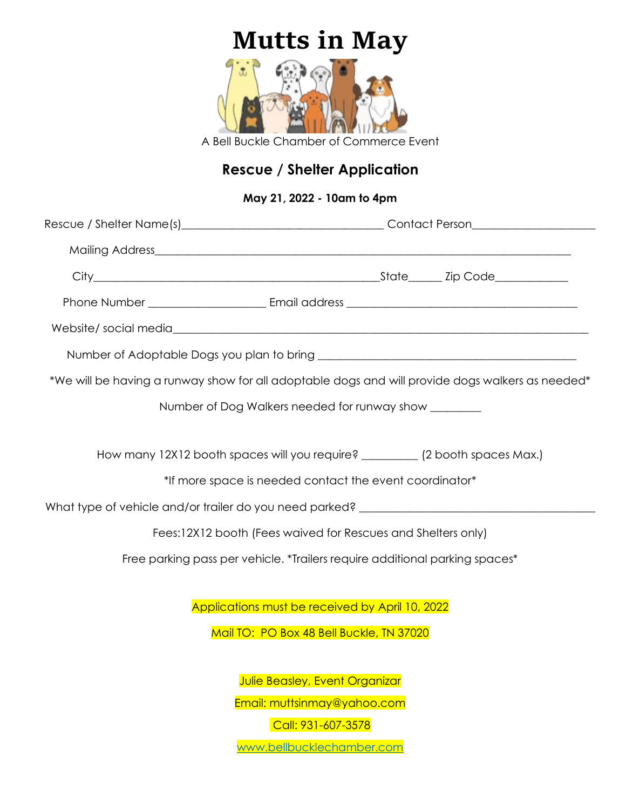## **Mutts in May**



A Bell Buckle Chamber of Commerce Event

## **Rescue / Shelter Application**

## **May 21, 2022 - 10am to 4pm**

|                                          | *We will be having a runway show for all adoptable dogs and will provide dogs walkers as needed* |  |
|------------------------------------------|--------------------------------------------------------------------------------------------------|--|
|                                          | Number of Dog Walkers needed for runway show ________                                            |  |
|                                          |                                                                                                  |  |
|                                          | How many 12X12 booth spaces will you require? __________ (2 booth spaces Max.)                   |  |
|                                          | *If more space is needed contact the event coordinator*                                          |  |
|                                          | What type of vehicle and/or trailer do you need parked? _________________________                |  |
|                                          | Fees:12X12 booth (Fees waived for Rescues and Shelters only)                                     |  |
|                                          | Free parking pass per vehicle. *Trailers require additional parking spaces*                      |  |
|                                          |                                                                                                  |  |
|                                          | Applications must be received by April 10, 2022                                                  |  |
| Mail TO: PO Box 48 Bell Buckle, TN 37020 |                                                                                                  |  |
|                                          |                                                                                                  |  |
|                                          | Julie Beasley, Event Organizar                                                                   |  |
|                                          | Email: muttsinmay@yahoo.com<br>Call: 931-607-3578                                                |  |
|                                          | www.bellbucklechamber.com                                                                        |  |